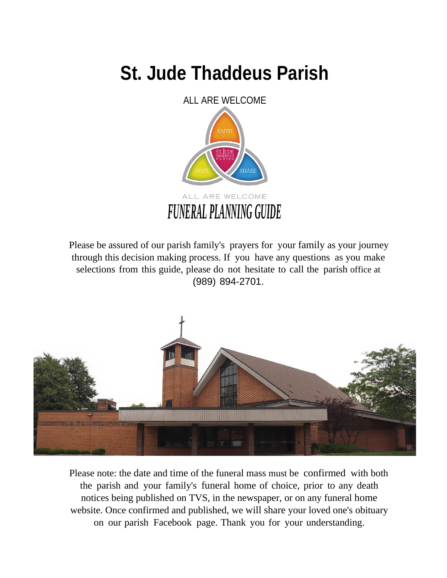## **St. Jude Thaddeus Parish**



Please be assured of our parish family's prayers for your family as your journey through this decision making process. If you have any questions as you make selections from this guide, please do not hesitate to call the parish office at (989) 894-2701.



Please note: the date and time of the funeral mass must be confirmed with both the parish and your family's funeral home of choice, prior to any death notices being published on TVS, in the newspaper, or on any funeral home website. Once confirmed and published, we will share your loved one's obituary on our parish Facebook page. Thank you for your understanding.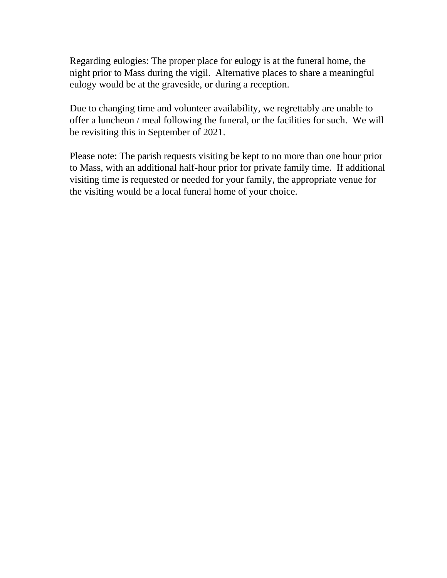Regarding eulogies: The proper place for eulogy is at the funeral home, the night prior to Mass during the vigil. Alternative places to share a meaningful eulogy would be at the graveside, or during a reception.

Due to changing time and volunteer availability, we regrettably are unable to offer a luncheon / meal following the funeral, or the facilities for such. We will be revisiting this in September of 2021.

Please note: The parish requests visiting be kept to no more than one hour prior to Mass, with an additional half-hour prior for private family time. If additional visiting time is requested or needed for your family, the appropriate venue for the visiting would be a local funeral home of your choice.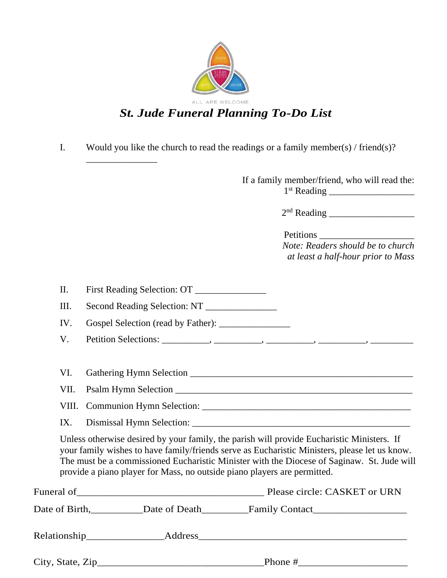

### *St. Jude Funeral Planning To-Do List*

I. Would you like the church to read the readings or a family member(s) / friend(s)?

If a family member/friend, who will read the: 1 st Reading \_\_\_\_\_\_\_\_\_\_\_\_\_\_\_\_\_\_

2 nd Reading \_\_\_\_\_\_\_\_\_\_\_\_\_\_\_\_\_\_

| Petitions                          |
|------------------------------------|
| Note: Readers should be to church  |
| at least a half-hour prior to Mass |

| $\mathbf{I}$<br><b>First Reading Selection: OT</b> |  |
|----------------------------------------------------|--|
|----------------------------------------------------|--|

III. Second Reading Selection: NT

IV. Gospel Selection (read by Father): \_\_\_\_\_\_\_\_\_\_\_\_\_\_\_

- V. Petition Selections: \_\_\_\_\_\_\_\_\_\_, \_\_\_\_\_\_\_\_\_\_, \_\_\_\_\_\_\_\_\_\_, \_\_\_\_\_\_\_\_\_\_, \_\_\_\_\_\_\_\_\_
- VI. Gathering Hymn Selection \_\_\_\_\_\_\_\_\_\_\_\_\_\_\_\_\_\_\_\_\_\_\_\_\_\_\_\_\_\_\_\_\_\_\_\_\_\_\_\_\_\_\_\_\_\_\_
- VII. Psalm Hymn Selection
- VIII. Communion Hymn Selection: \_\_\_\_\_\_\_\_\_\_\_\_\_\_\_\_\_\_\_\_\_\_\_\_\_\_\_\_\_\_\_\_\_\_\_\_\_\_\_\_\_\_\_\_

\_\_\_\_\_\_\_\_\_\_\_\_\_\_\_

IX. Dismissal Hymn Selection: \_\_\_\_\_\_\_\_\_\_\_\_\_\_\_\_\_\_\_\_\_\_\_\_\_\_\_\_\_\_\_\_\_\_\_\_\_\_\_\_\_\_\_\_\_\_

Unless otherwise desired by your family, the parish will provide Eucharistic Ministers. If your family wishes to have family/friends serve as Eucharistic Ministers, please let us know. The must be a commissioned Eucharistic Minister with the Diocese of Saginaw. St. Jude will provide a piano player for Mass, no outside piano players are permitted.

|                              | Please circle: CASKET or URN                                                                                                                                                                                                   |
|------------------------------|--------------------------------------------------------------------------------------------------------------------------------------------------------------------------------------------------------------------------------|
| Date of Birth, Date of Death |                                                                                                                                                                                                                                |
|                              | Address and the contract of the contract of the contract of the contract of the contract of the contract of the contract of the contract of the contract of the contract of the contract of the contract of the contract of th |
| City, State, $\text{Zip}\_$  | Phone #                                                                                                                                                                                                                        |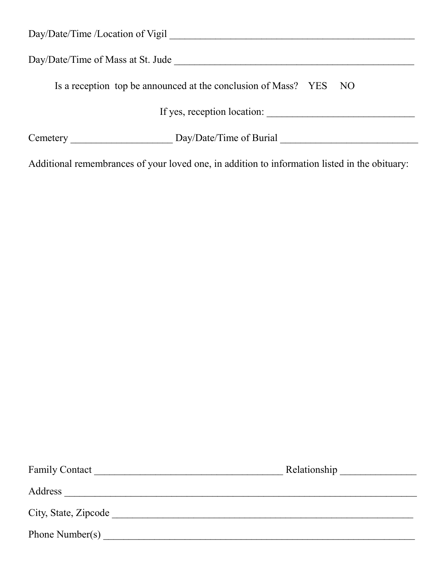| Day/Date/Time /Location of Vigil                                                              |
|-----------------------------------------------------------------------------------------------|
| Day/Date/Time of Mass at St. Jude                                                             |
| Is a reception top be announced at the conclusion of Mass? YES NO                             |
| If yes, reception location:                                                                   |
| Day/Date/Time of Burial                                                                       |
| Additional remembrances of your loved one, in addition to information listed in the obituary: |

| <b>Family Contact</b> | Relationship |
|-----------------------|--------------|
| Address               |              |
| City, State, Zipcode  |              |
| Phone Number(s)       |              |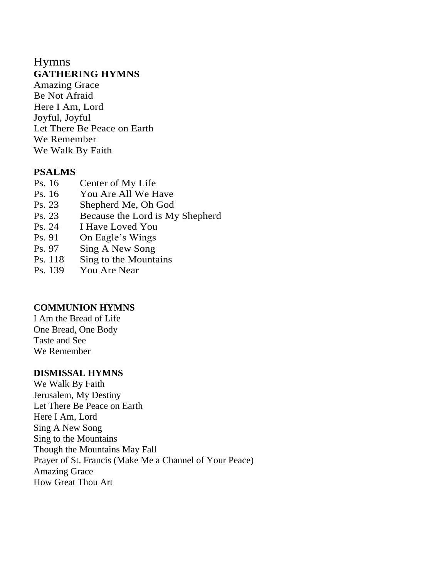### Hymns **GATHERING HYMNS**

Amazing Grace Be Not Afraid Here I Am, Lord Joyful, Joyful Let There Be Peace on Earth We Remember We Walk By Faith

### **PSALMS**

- Ps. 16 Center of My Life
- Ps. 16 You Are All We Have
- Ps. 23 Shepherd Me, Oh God
- Ps. 23 Because the Lord is My Shepherd
- Ps. 24 I Have Loved You
- Ps. 91 On Eagle's Wings
- Ps. 97 Sing A New Song
- Ps. 118 Sing to the Mountains
- Ps. 139 You Are Near

### **COMMUNION HYMNS**

I Am the Bread of Life One Bread, One Body Taste and See We Remember

### **DISMISSAL HYMNS**

We Walk By Faith Jerusalem, My Destiny Let There Be Peace on Earth Here I Am, Lord Sing A New Song Sing to the Mountains Though the Mountains May Fall Prayer of St. Francis (Make Me a Channel of Your Peace) Amazing Grace How Great Thou Art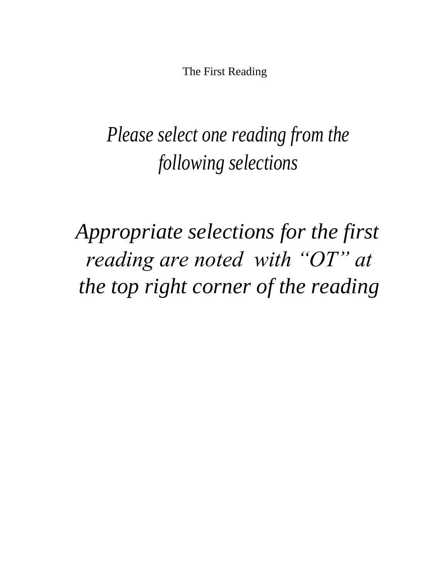The First Reading

# *Please select one reading from the following selections*

*Appropriate selections for the first reading are noted with "OT" at the top right corner of the reading*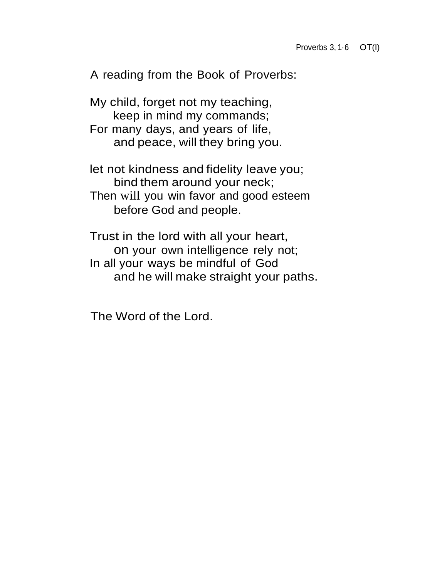A reading from the Book of Proverbs:

My child, forget not my teaching, keep in mind my commands; For many days, and years of life, and peace, will they bring you.

let not kindness and fidelity leave you; bind them around your neck; Then will you win favor and good esteem before God and people.

Trust in the lord with all your heart, on your own intelligence rely not; In all your ways be mindful of God and he will make straight your paths.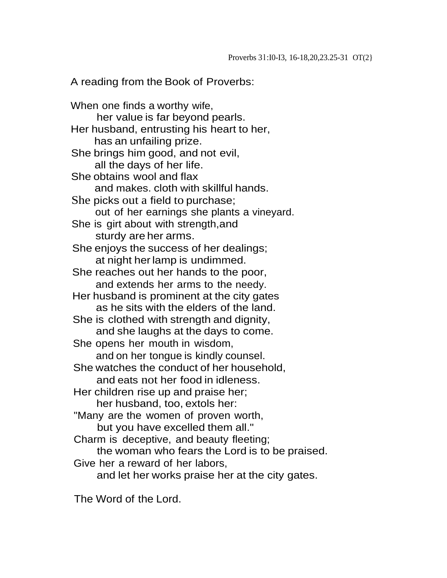A reading from the Book of Proverbs:

When one finds a worthy wife, her value is far beyond pearls. Her husband, entrusting his heart to her, has an unfailing prize. She brings him good, and not evil, all the days of her life. She obtains wool and flax and makes. cloth with skillful hands. She picks out a field to purchase; out of her earnings she plants a vineyard. She is girt about with strength,and sturdy are her arms. She enjoys the success of her dealings; at night herlamp is undimmed. She reaches out her hands to the poor, and extends her arms to the needy. Her husband is prominent at the city gates as he sits with the elders of the land. She is clothed with strength and dignity, and she laughs at the days to come. She opens her mouth in wisdom, and on her tongue is kindly counsel. She watches the conduct of her household, and eats not her food in idleness. Her children rise up and praise her; her husband, too, extols her: "Many are the women of proven worth, but you have excelled them all." Charm is deceptive, and beauty fleeting; the woman who fears the Lord is to be praised. Give her a reward of her labors, and let her works praise her at the city gates.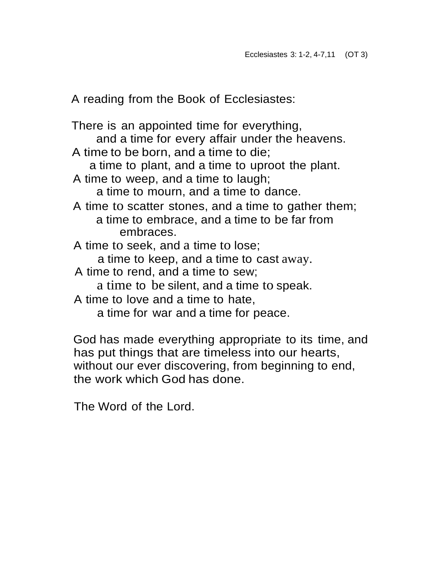A reading from the Book of Ecclesiastes:

There is an appointed time for everything, and a time for every affair under the heavens. A time to be born, and a time to die; a time to plant, and a time to uproot the plant. A time to weep, and a time to laugh; a time to mourn, and a time to dance. A time to scatter stones, and a time to gather them; a time to embrace, and a time to be far from embraces. A time to seek, and a time to lose; a time to keep, and a time to cast away. A time to rend, and a time to sew; a time to be silent, and a time to speak. A time to love and a time to hate, a time for war and a time for peace.

God has made everything appropriate to its time, and has put things that are timeless into our hearts, without our ever discovering, from beginning to end, the work which God has done.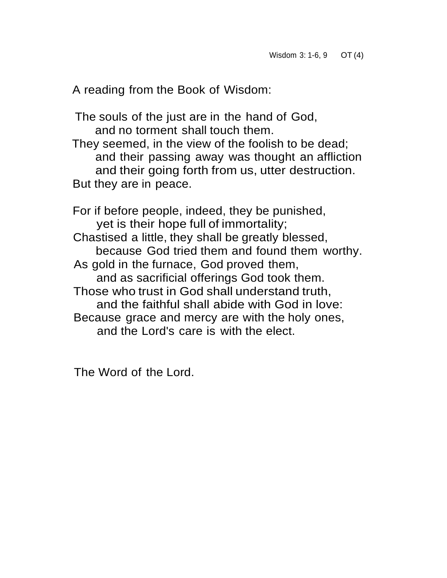A reading from the Book of Wisdom:

The souls of the just are in the hand of God, and no torment shall touch them.

They seemed, in the view of the foolish to be dead; and their passing away was thought an affliction and their going forth from us, utter destruction. But they are in peace.

For if before people, indeed, they be punished, yet is their hope full of immortality; Chastised a little, they shall be greatly blessed, because God tried them and found them worthy. As gold in the furnace, God proved them, and as sacrificial offerings God took them. Those who trust in God shall understand truth, and the faithful shall abide with God in love: Because grace and mercy are with the holy ones, and the Lord's care is with the elect.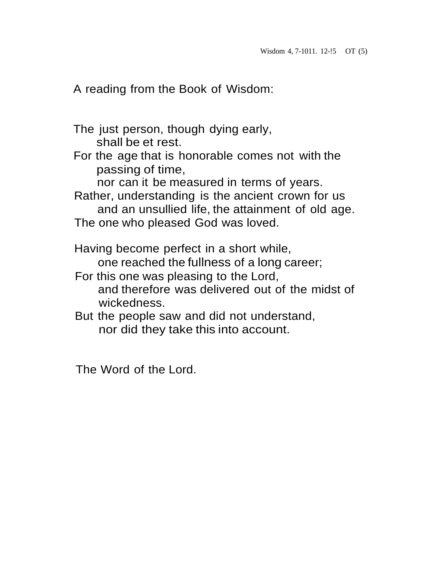A reading from the Book of Wisdom:

- The just person, though dying early, shall be et rest.
- For the age that is honorable comes not with the passing of time,

nor can it be measured in terms of years.

Rather, understanding is the ancient crown for us and an unsullied life, the attainment of old age. The one who pleased God was loved.

Having become perfect in a short while, one reached the fullness of a long career;

- For this one was pleasing to the Lord, and therefore was delivered out of the midst of wickedness.
- But the people saw and did not understand, nor did they take this into account.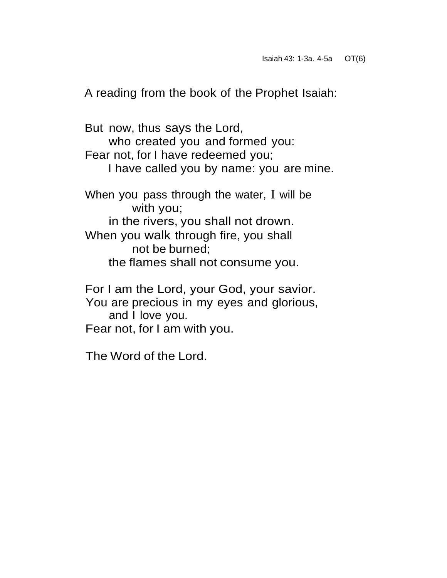A reading from the book of the Prophet Isaiah:

But now, thus says the Lord, who created you and formed you: Fear not, for I have redeemed you; I have called you by name: you are mine. When you pass through the water, I will be with you; in the rivers, you shall not drown. When you walk through fire, you shall not be burned; the flames shall not consume you.

For I am the Lord, your God, your savior. You are precious in my eyes and glorious, and I love you. Fear not, for I am with you.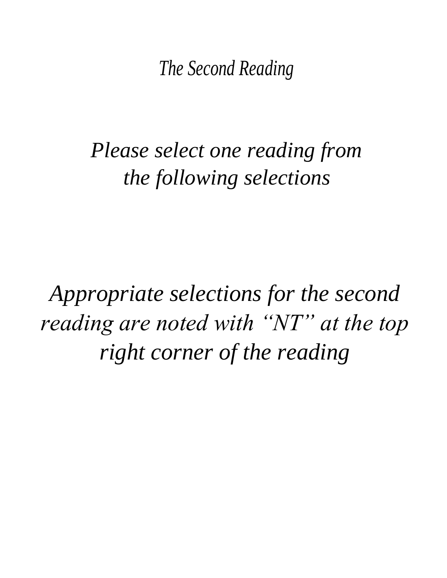*The Second Reading*

# *Please select one reading from the following selections*

*Appropriate selections for the second reading are noted with "NT" at the top right corner of the reading*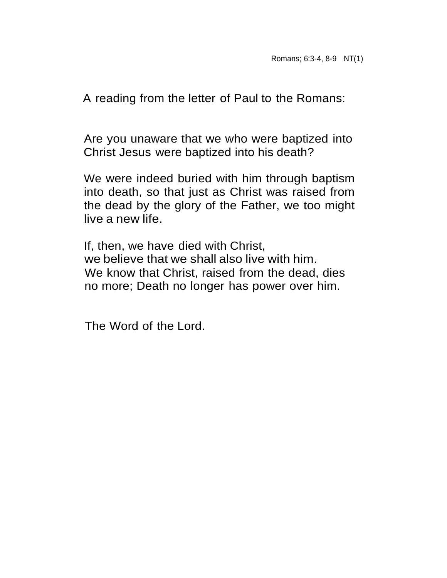A reading from the letter of Paul to the Romans:

Are you unaware that we who were baptized into Christ Jesus were baptized into his death?

We were indeed buried with him through baptism into death, so that just as Christ was raised from the dead by the glory of the Father, we too might live a new life.

If, then, we have died with Christ, we believe that we shall also live with him. We know that Christ, raised from the dead, dies no more; Death no longer has power over him.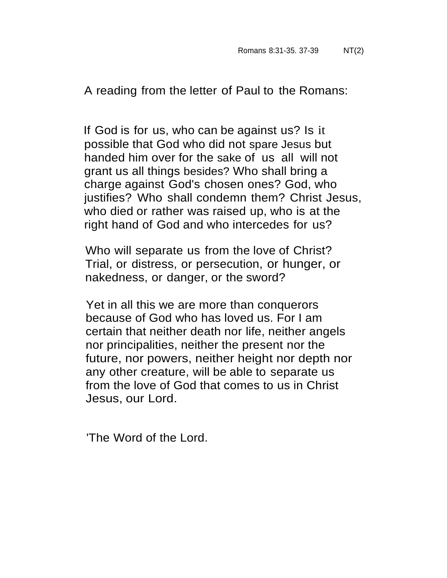A reading from the letter of Paul to the Romans:

If God is for us, who can be against us? Is it possible that God who did not spare Jesus but handed him over for the sake of us all will not grant us all things besides? Who shall bring a charge against God's chosen ones? God, who justifies? Who shall condemn them? Christ Jesus, who died or rather was raised up, who is at the right hand of God and who intercedes for us?

Who will separate us from the love of Christ? Trial, or distress, or persecution, or hunger, or nakedness, or danger, or the sword?

Yet in all this we are more than conquerors because of God who has loved us. For I am certain that neither death nor life, neither angels nor principalities, neither the present nor the future, nor powers, neither height nor depth nor any other creature, will be able to separate us from the love of God that comes to us in Christ Jesus, our Lord.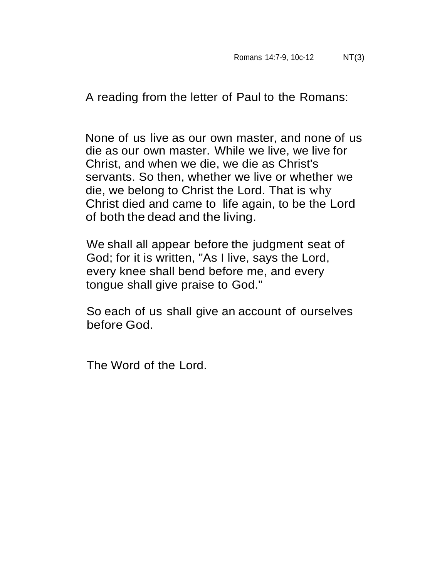A reading from the letter of Paul to the Romans:

None of us live as our own master, and none of us die as our own master. While we live, we live for Christ, and when we die, we die as Christ's servants. So then, whether we live or whether we die, we belong to Christ the Lord. That is why Christ died and came to life again, to be the Lord of both the dead and the living.

We shall all appear before the judgment seat of God; for it is written, "As I live, says the Lord, every knee shall bend before me, and every tongue shall give praise to God."

So each of us shall give an account of ourselves before God.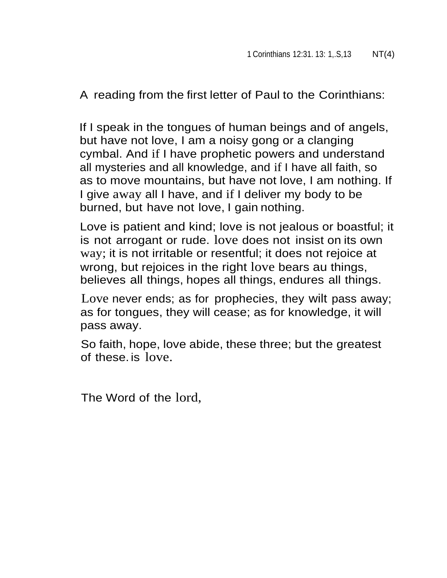A reading from the first letter of Paul to the Corinthians:

If I speak in the tongues of human beings and of angels, but have not love, I am a noisy gong or a clanging cymbal. And if I have prophetic powers and understand all mysteries and all knowledge, and if I have all faith, so as to move mountains, but have not love, I am nothing. If I give away all I have, and if I deliver my body to be burned, but have not love, I gain nothing.

Love is patient and kind; love is not jealous or boastful; it is not arrogant or rude. love does not insist on its own way; it is not irritable or resentful; it does not rejoice at wrong, but rejoices in the right love bears au things, believes all things, hopes all things, endures all things.

Love never ends; as for prophecies, they wilt pass away; as for tongues, they will cease; as for knowledge, it will pass away.

So faith, hope, love abide, these three; but the greatest of these. is love.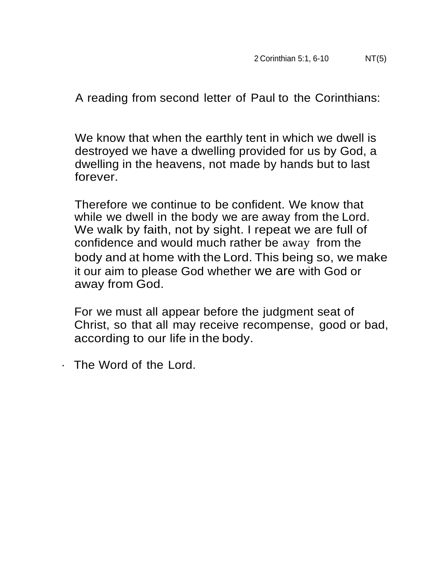A reading from second letter of Paul to the Corinthians:

We know that when the earthly tent in which we dwell is destroyed we have a dwelling provided for us by God, a dwelling in the heavens, not made by hands but to last forever.

Therefore we continue to be confident. We know that while we dwell in the body we are away from the Lord. We walk by faith, not by sight. I repeat we are full of confidence and would much rather be away from the body and at home with the Lord. This being so, we make it our aim to please God whether we are with God or away from God.

For we must all appear before the judgment seat of Christ, so that all may receive recompense, good or bad, according to our life in the body.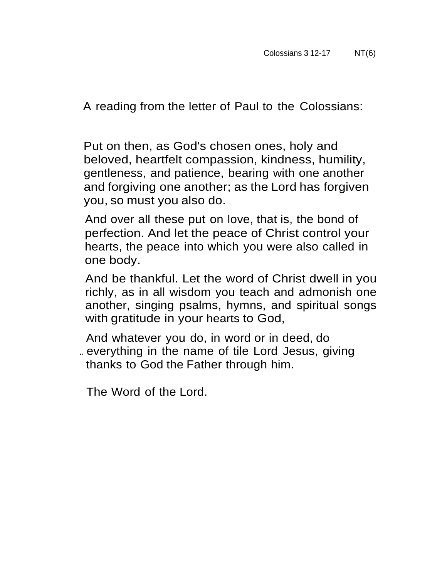A reading from the letter of Paul to the Colossians:

Put on then, as God's chosen ones, holy and beloved, heartfelt compassion, kindness, humility, gentleness, and patience, bearing with one another and forgiving one another; as the Lord has forgiven you, so must you also do.

And over all these put on love, that is, the bond of perfection. And let the peace of Christ control your hearts, the peace into which you were also called in one body.

And be thankful. Let the word of Christ dwell in you richly, as in all wisdom you teach and admonish one another, singing psalms, hymns, and spiritual songs with gratitude in your hearts to God,

And whatever you do, in word or in deed, do .. everything in the name of tile Lord Jesus, giving thanks to God the Father through him.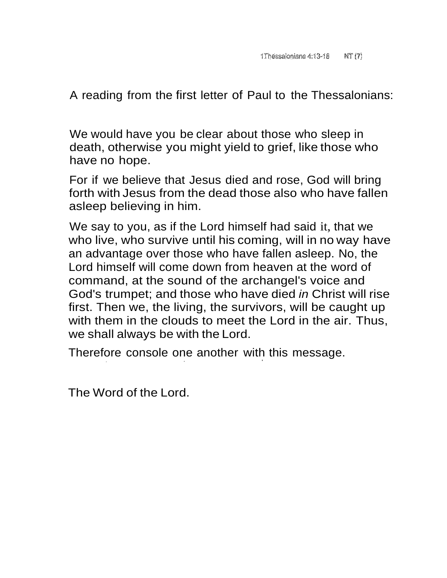A reading from the first letter of Paul to the Thessalonians:

We would have you be clear about those who sleep in death, otherwise you might yield to grief, like those who have no hope.

For if we believe that Jesus died and rose, God will bring forth with Jesus from the dead those also who have fallen asleep believing in him.

We say to you, as if the Lord himself had said it, that we who live, who survive until his coming, will in no way have an advantage over those who have fallen asleep. No, the Lord himself will come down from heaven at the word of command, at the sound of the archangel's voice and God's trumpet; and those who have died *in* Christ will rise first. Then we, the living, the survivors, will be caught up with them in the clouds to meet the Lord in the air. Thus, we shall always be with the Lord.

Therefore console one another with this message.

' '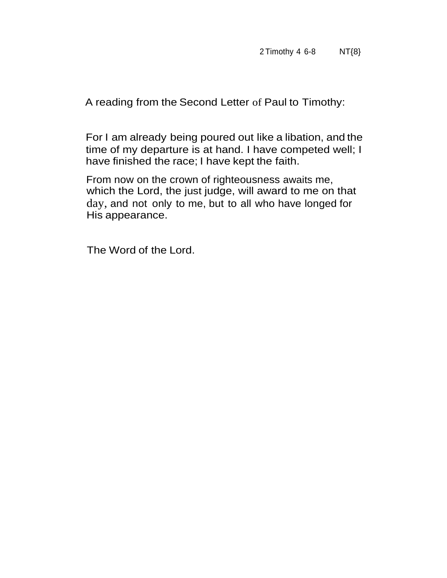A reading from the Second Letter of Paul to Timothy:

For I am already being poured out like a libation, and the time of my departure is at hand. I have competed well; I have finished the race; I have kept the faith.

From now on the crown of righteousness awaits me, which the Lord, the just judge, will award to me on that day, and not only to me, but to all who have longed for His appearance.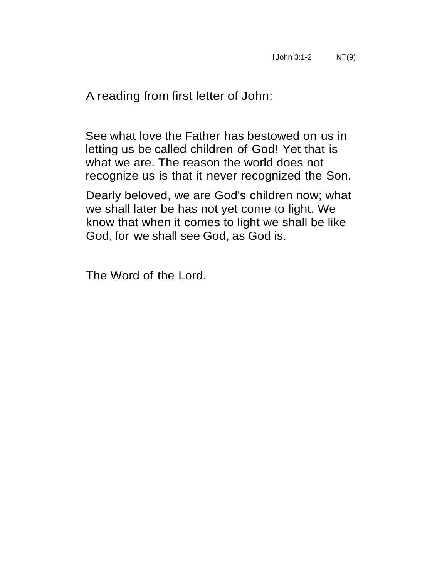A reading from first letter of John:

See what love the Father has bestowed on us in letting us be called children of God! Yet that is what we are. The reason the world does not recognize us is that it never recognized the Son.

Dearly beloved, we are God's children now; what we shall later be has not yet come to light. We know that when it comes to light we shall be like God, for we shall see God, as God is.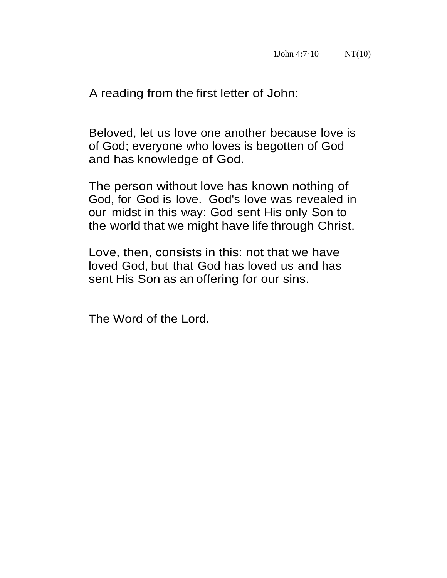A reading from the first letter of John:

Beloved, let us love one another because love is of God; everyone who loves is begotten of God and has knowledge of God.

The person without love has known nothing of God, for God is love. God's love was revealed in our midst in this way: God sent His only Son to the world that we might have life through Christ.

Love, then, consists in this: not that we have loved God, but that God has loved us and has sent His Son as an offering for our sins.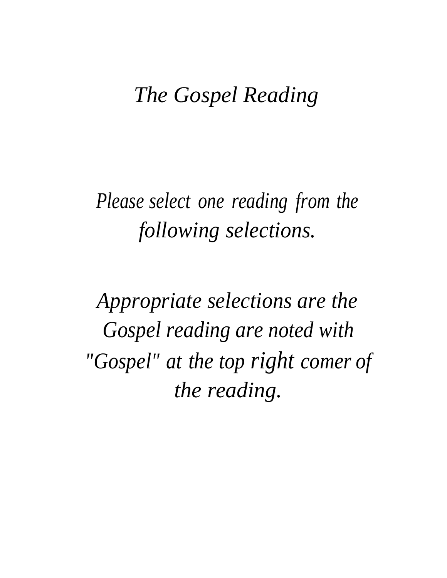## *The Gospel Reading*

*Please select one reading from the following selections.*

*Appropriate selections are the Gospel reading are noted with "Gospel" at the top right comer of the reading.*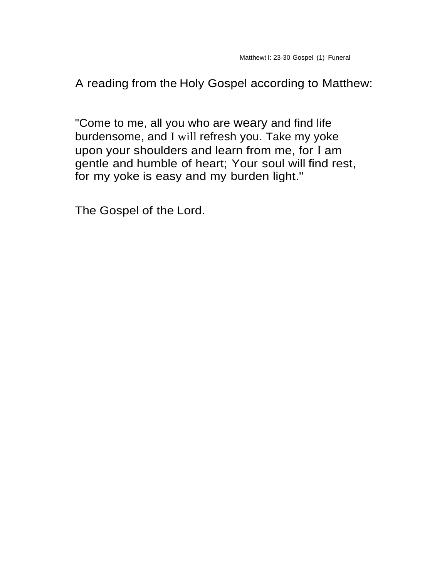"Come to me, all you who are weary and find life burdensome, and I will refresh you. Take my yoke upon your shoulders and learn from me, for I am gentle and humble of heart; Your soul will find rest, for my yoke is easy and my burden light."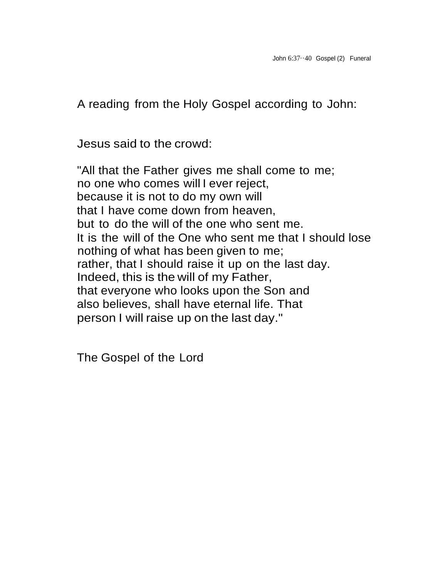Jesus said to the crowd:

"All that the Father gives me shall come to me; no one who comes will I ever reject, because it is not to do my own will that I have come down from heaven, but to do the will of the one who sent me. It is the will of the One who sent me that I should lose nothing of what has been given to me; rather, that I should raise it up on the last day. Indeed, this is the will of my Father, that everyone who looks upon the Son and also believes, shall have eternal life. That person I will raise up on the last day."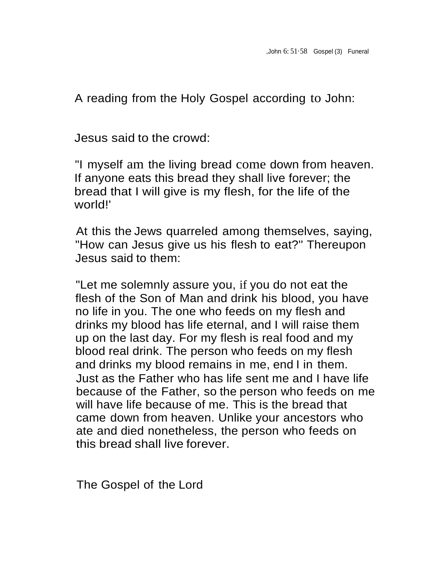Jesus said to the crowd:

"I myself am the living bread come down from heaven. If anyone eats this bread they shall live forever; the bread that I will give is my flesh, for the life of the world!'

At this the Jews quarreled among themselves, saying, "How can Jesus give us his flesh to eat?'' Thereupon Jesus said to them:

"Let me solemnly assure you, if you do not eat the flesh of the Son of Man and drink his blood, you have no life in you. The one who feeds on my flesh and drinks my blood has life eternal, and I will raise them up on the last day. For my flesh is real food and my blood real drink. The person who feeds on my flesh and drinks my blood remains in me, end I in them. Just as the Father who has life sent me and I have life because of the Father, so the person who feeds on me will have life because of me. This is the bread that came down from heaven. Unlike your ancestors who ate and died nonetheless, the person who feeds on this bread shall live forever.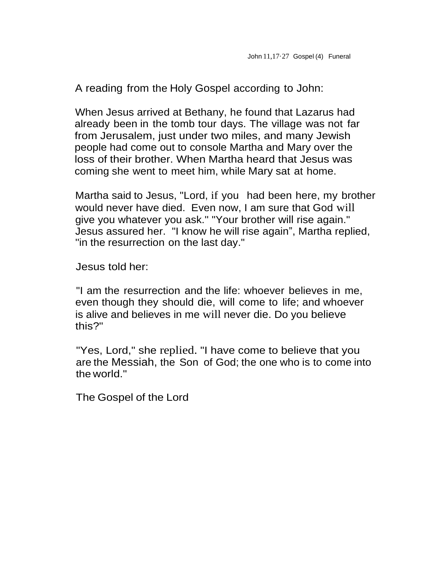When Jesus arrived at Bethany, he found that Lazarus had already been in the tomb tour days. The village was not far from Jerusalem, just under two miles, and many Jewish people had come out to console Martha and Mary over the loss of their brother. When Martha heard that Jesus was coming she went to meet him, while Mary sat at home.

Martha said to Jesus, "Lord, if you had been here, my brother would never have died. Even now, I am sure that God will give you whatever you ask.'' "Your brother will rise again." Jesus assured her. "I know he will rise again", Martha replied, ''in the resurrection on the last day."

Jesus told her:

"I am the resurrection and the life: whoever believes in me, even though they should die, will come to life; and whoever is alive and believes in me will never die. Do you believe this?"

"Yes, Lord," she replied. "I have come to believe that you are the Messiah, the Son of God; the one who is to come into the world."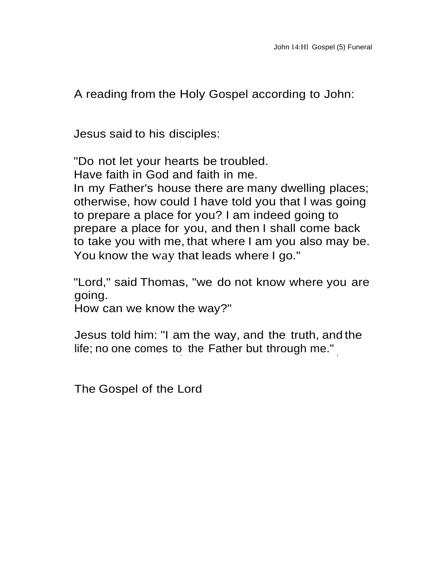Jesus said to his disciples:

"Do not let your hearts be troubled. Have faith in God and faith in me. In my Father's house there are many dwelling places; otherwise, how could I have told you that l was going to prepare a place for you? I am indeed going to prepare a place for you, and then I shall come back to take you with me, that where I am you also may be. You know the way that leads where I go."

"Lord," said Thomas, "we do not know where you are going.

How can we know the way?"

Jesus told him: "I am the way, and the truth, and the life; no one comes to the Father but through me." $_{_\|}$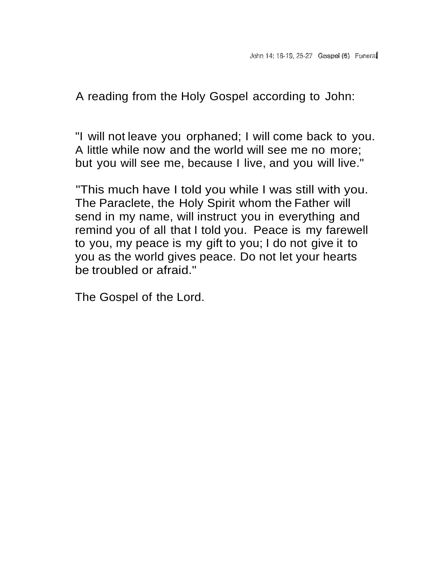"I will not leave you orphaned; I will come back to you. A little while now and the world will see me no more; but you will see me, because I live, and you will live."

"This much have I told you while I was still with you. The Paraclete, the Holy Spirit whom the Father will send in my name, will instruct you in everything and remind you of all that I told you. Peace is my farewell to you, my peace is my gift to you; I do not give it to you as the world gives peace. Do not let your hearts be troubled or afraid."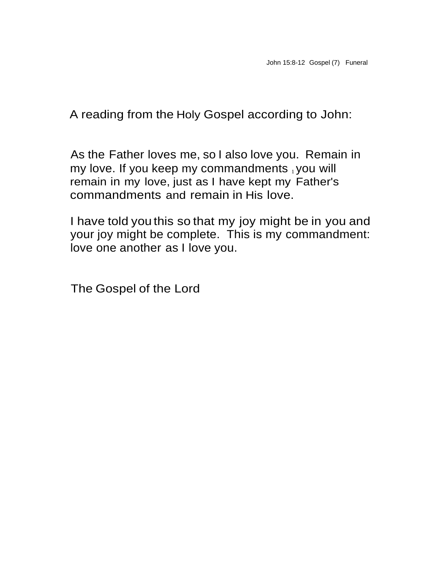As the Father loves me, so I also love you. Remain in my love. If you keep my commandments  $_1$  you will remain in my love, just as I have kept my Father's commandments and remain in His love.

I have told you this so that my joy might be in you and your joy might be complete. This is my commandment: love one another as I love you.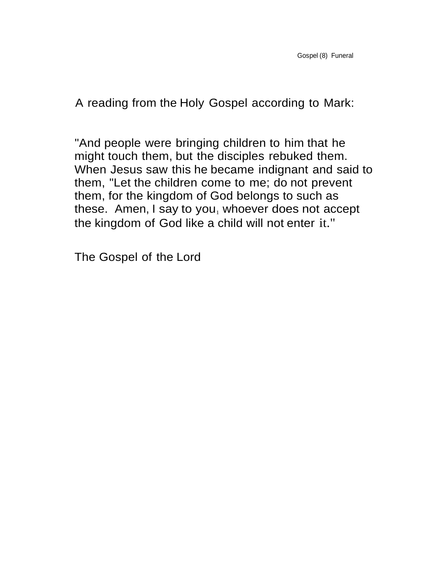"And people were bringing children to him that he might touch them, but the disciples rebuked them. When Jesus saw this he became indignant and said to them, "Let the children come to me; do not prevent them, for the kingdom of God belongs to such as these. Amen, I say to you<sub>1</sub> whoever does not accept the kingdom of God like a child will not enter it."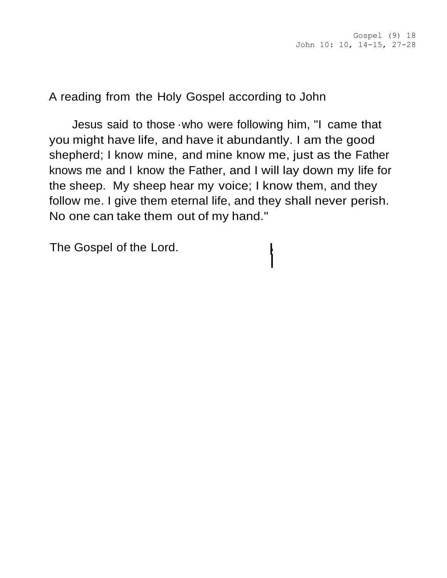Jesus said to those ·who were following him, "I came that you might have life, and have it abundantly. I am the good shepherd; I know mine, and mine know me, just as the Father knows me and I know the Father, and I will lay down my life for the sheep. My sheep hear my voice; I know them, and they follow me. I give them eternal life, and they shall never perish. No one can take them out of my hand."

> I i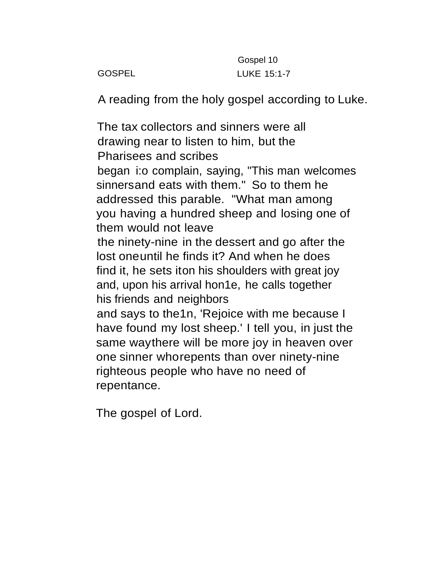Gospel 10 GOSPEL LUKE 15:1-7

A reading from the holy gospel according to Luke.

The tax collectors and sinners were all drawing near to listen to him, but the Pharisees and scribes began i:o complain, saying, "This man welcomes sinnersand eats with them." So to them he addressed this parable. "What man among you having a hundred sheep and losing one of them would not leave the ninety-nine in the dessert and go after the lost oneuntil he finds it? And when he does find it, he sets iton his shoulders with great joy and, upon his arrival hon1e, he calls together his friends and neighbors and says to the1n, 'Rejoice with me because I have found my lost sheep.' I tell you, in just the same waythere will be more joy in heaven over one sinner whorepents than over ninety-nine righteous people who have no need of repentance.

The gospel of Lord.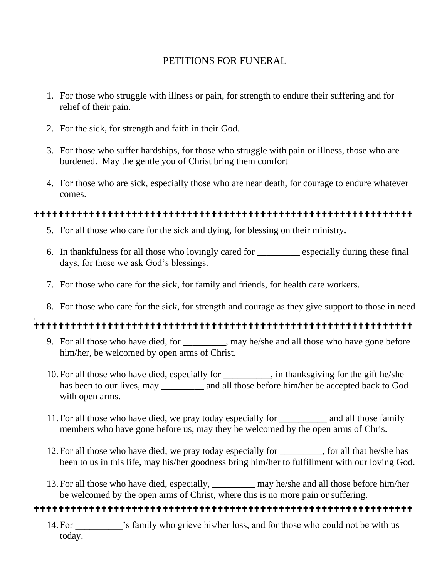### PETITIONS FOR FUNERAL

- 1. For those who struggle with illness or pain, for strength to endure their suffering and for relief of their pain.
- 2. For the sick, for strength and faith in their God.
- 3. For those who suffer hardships, for those who struggle with pain or illness, those who are burdened. May the gentle you of Christ bring them comfort
- 4. For those who are sick, especially those who are near death, for courage to endure whatever comes.

### 

- 5. For all those who care for the sick and dying, for blessing on their ministry.
- 6. In thankfulness for all those who lovingly cared for \_\_\_\_\_\_\_\_\_ especially during these final days, for these we ask God's blessings.
- 7. For those who care for the sick, for family and friends, for health care workers.
- 8. For those who care for the sick, for strength and courage as they give support to those in need

#### .

- 9. For all those who have died, for \_\_\_\_\_\_\_\_, may he/she and all those who have gone before him/her, be welcomed by open arms of Christ.
- 10. For all those who have died, especially for \_\_\_\_\_\_\_\_\_\_, in thanksgiving for the gift he/she has been to our lives, may \_\_\_\_\_\_\_\_\_ and all those before him/her be accepted back to God with open arms.
- 11. For all those who have died, we pray today especially for \_\_\_\_\_\_\_\_\_\_ and all those family members who have gone before us, may they be welcomed by the open arms of Chris.
- 12. For all those who have died; we pray today especially for \_\_\_\_\_\_\_\_\_, for all that he/she has been to us in this life, may his/her goodness bring him/her to fulfillment with our loving God.
- 13. For all those who have died, especially, \_\_\_\_\_\_\_\_\_ may he/she and all those before him/her be welcomed by the open arms of Christ, where this is no more pain or suffering.

### 

14. For  $\cdot$  is family who grieve his/her loss, and for those who could not be with us today.